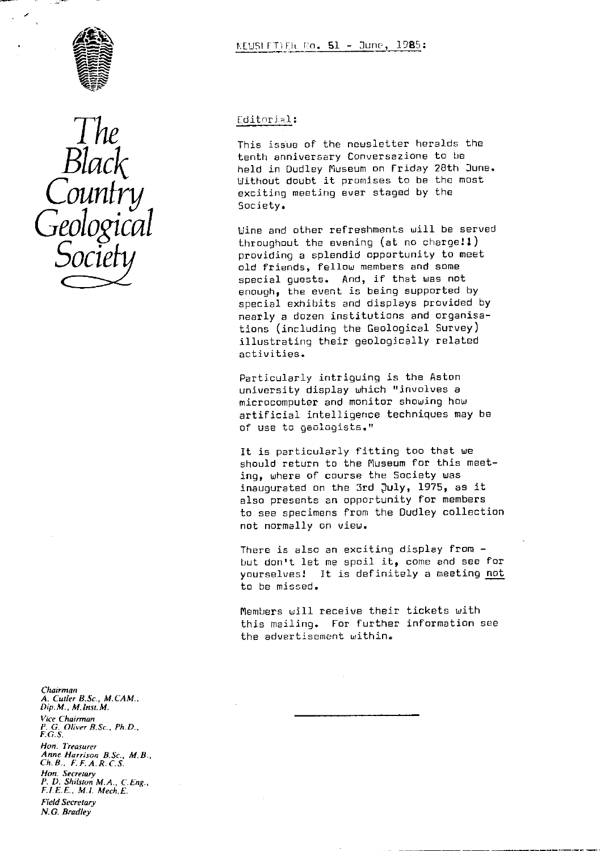



# Editorial:

This issue of the newsletter he raids the tenth anniversary Conuersazione to be held in Dudley Museum on Friday 28th Dune. Uithout doubt it promises to be the most exciting meeting ever staged by the Society.

Wine and other refreshments will be served throughout the evening (at no charge! $:$ providing a splendid opportunity to meet old friends, fellow members and some special guests. And, if that was not enough, the event is being supported by special exhibits and displays provided by nearly a dozen institutions and organisations (including the Geological Survey) illustrating their geologically related activities.

Particularly intriguing is the Aston university display which "involves a microcomputer and monitor showing how artificial intelligence techniques may be of use to geologists.

It is particularly fitting too that we should return to the Museum for this meeting, where of course the Society was inaugurated on the 3rd July, 1975, as it also presents an opportunity for members to see specimens from the Dudley collection not normally on view.

There is also an exciting display from but don't let me spoil it, come and see for yourselves! It is definitely a meeting not to be missed.

Members will receive their tickets with this mailing. For further information see the advertisement within.

*Chairman A. Cutler B.Sc., M.CAM., Dip.M., M.lnst.M.* Vice *Chairman P. G. Oliver B.Sc., Ph.D.,* F *G. S. Hon. Treasurer Anne Harrison B.Sc., M.B., Ch. B., F. F. A.R. C. S. Hon. Secretary P. D. Shilston M.A., C.Eng., F.LE.E., M.I. Mech.E. Field Secretary N.G. Bradley*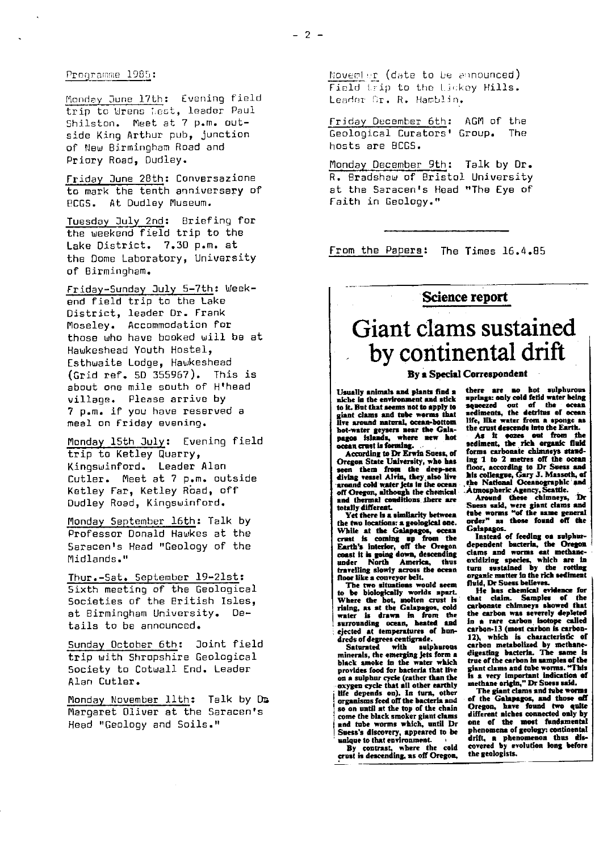Monday June 17th: Evening field trip to Urens Mest, leader Paul Shilston. Meet at 7 p.m. outside King Arthur pub, junction of New Birmingham Road and Priory Road, Dudley.

Friday June 28th: Conversazione to mark the tenth anniversary of **ECGS.** At Dudley Museum.

Tuesday July 2nd: Briefing for the weekend field trip to the Lake District. 7.30 p.m. at the Dome Laboratory, University of Birmingham.

Friday-Sunday July 5-7th : Weekend field trip to the Lake District, leader Dr. Frank Moseley. Accommodation for those who have booked will be at Hawkeshead Youth Hostel, Esthwaite Lodge, Hawkeshead (Grid ref. 5D 355967). This is about one mile south of H'head village. Please arrive by 7 p.m. if you have reserved a meal on Friday evening.

Monday 15th July: Evening field trip to Ketley quarry, Kingswinford. Leader Alan Cutler. Meet at 7 p.m. outside Ketley Far, Ketley Road, off Dudley Road, Kingswinford.

Monday September 16th: Talk by Professor Donald Hawkes at the Saracen's Head "Geology of the Midlands."

Thur.- Sat. September 19-21st : Sixth meeting of the Geological Societies of the British Isles, at Birmingham University. Details to be announced.

Sunday October 6th: Joint field trip with Shropshire Geological Society to Cotwall End. Leader Alan Cutler.

Monday November 11th: Talk by Dm Margaret Oliver at the Saracen's Head "Geology and Soils."

November (date to be announced) Field trip to the Lickey Hills. Leader Dr. R. Hamblin.

Friday December 6th: AGM of the Geological Curators' Group. *The* hosts are BCGS.

Monday December 9th: Talk by Dr. R. Bradshaw of Bristol University at the Saracen's Head "The Eye of Faith in Geology."

From the Papers: The Times 16.4.85

# **Science report**

# Giant clams sustained by continental drift

#### **By a Special Correspondent**

**Usually animals and plants find a niche in the environment and stick to it. But that seems not to apply to giant clams and tube worms that live around natural, ocean-bottom bat-water geysers near the Gals-pages islands, where new hot scan crust is forming. .**

**According to Dr Erwin Suess, of** Oregon State University, who has<br>seen them from the deep-sea<br>diving vessel Alvin, they also live<br>around cold water jets in the ocean<br>off Oregon, although the chemical<br>and thermal conditions there are **totally different.**

**Yet there €s a similarity between the two locations: a geological one. While at the Galapagos, ocean crust Is coming up from the Firth's Interior, off the Oregon coast it is going dawn, descending under North America, thus travelling slowly across the ocean floor like a conveyor belt.**

The two situations would seem<br>to be biologically worlds apart.<br>Where the bot, molten crust is<br>rising, as at the Galapagos, cold<br>water is drawn in from the<br>surrounding ocean, heated and<br>ejected at temperatures of hun**dreds of degrees centigrade.**

**Saturated with sulphurous minerals, the emerging jets form** <sup>n</sup> **black smoke In the water which provides food for bacteria that live on a sulphur cycle (rather than the oxygen cycle that all other earthly life depends on). In turn, other organisms feed off the bacteria and so on until at the top of the chain come the black smoker giant clams and tube worms which, until Dr Suess's discovery, appeared to be unique to that environment. <sup>1</sup>**

**By contrast, where the cold crust is descending, as off Oregon,**

**there are no hot sulphurous springs: only cold fetid water being** Corresp<br>there **a**<br>springs:<br>squeezed<br>sediment  **out of the ocean sediments, the detritus of ocean life, like water Preen a sponge as the crust descends Into the Earth.**

**As it oozes out from the sediment, the rich organic fluid forms carbonate chimneys stand**ing 1 to 2 metres off the ocean<br>floor, according to Dr Suess and<br>his colleague, Gary J. Massoth, of<br>the National Oceanographic and<br>Atmospheric Agency, Seattle.<br>Around these chimneys, Dr<br>Suess said, were giant clams and<br>tub

**Galapagos. Instead of feeding on sulphur-dependent bacteria, the Oregon clams and worms eat methane-oxidizing species, which are In turn sustained by the rotting organic matter in the rich sediment fluid, Dr Suess believes.**

**He bus chemical evidence for that claim. Samples of the carbonate chimneys showed that the carbon was severely depleted in a rare carbon isotope called carbon-13 (most carbon Is carbon-12), which is characteristic of carbon metabolized by methane**-**digesting bacteria. The same Is** true of the carbon in samples of the<br>giant clams and tube worms. "This<br>is a very important indication of<br>methane origin," Dr Sness said.<br>The giant clams and tube worms<br>of the Galapagos, and those off

**Oregon, have found two quite different niches connected only by one of the most fundamental phenomena of geology: continental drift, a phenomenon thus dis-covered by evolution long before the geologists.**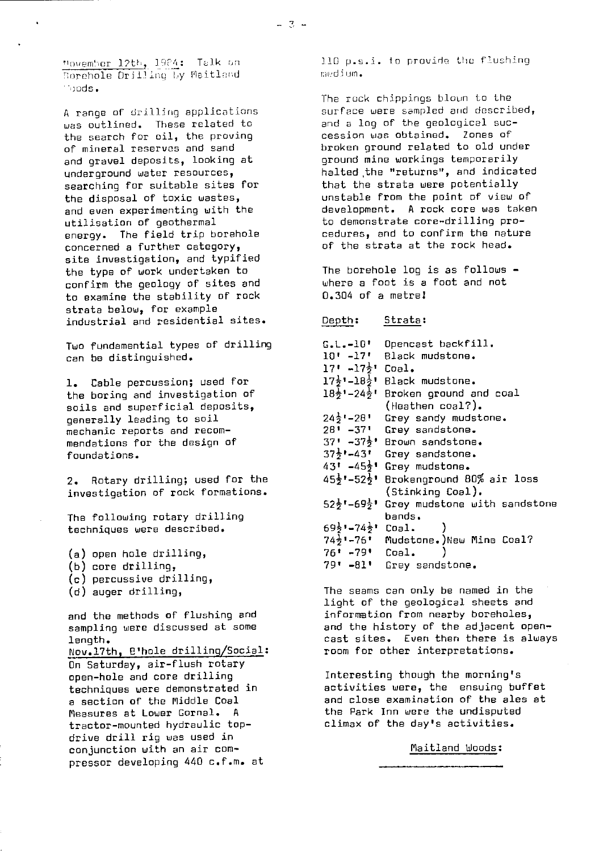Movember 12th, 1984: Talk on Rorehole Drilling By Maitland :) uds.

A range of drilling applications was outlined. These related to the search for oil, the proving of mineral reserves and sand and gravel deposits, looking at underground water resources, searching for suitable sites for the disposal of toxic wastes, and even experimenting with the utilisation of geothermal energy. The field trip borehole concerned a further category, site investigation, and typified the type of work undertaken to confirm the geology of sites and to examine the stability of rock strata below, for example industrial and residential sites.

Two fundamential types of drilling can be distinguished.

1. Cable percussion; used for the boring and investigation of soils and superficial deposits, generally leading to soil mechanic reports and recommendations for the design of foundations.

2. Rotary drilling; used for the investigation of rock formations.

The following rotary drilling techniques were described.

- (a) open hole drilling,
- (b) core drilling,
- (c) percussive drilling,
- (d) auger drilling,

and the methods of flushing and sampling were discussed at some length.

Nov.17th, B'hole drilling/Social:

On Saturday, air-flush rotary open-hole and core drilling techniques were demonstrated in a section of the Middle Coal Measures at Lower Gornal. A tractor-mounted hydraulic topdrive drill rig was used in conjunction with an air compressor developing 440 c.f.m. at 110 p.s.i. to provide the flushing !:7Ediurn.

The rock chippings blown to the surface were sampled and described, and a log of the geological succession was obtained. Zones of broken ground related to old under ground mine workings temporarily halted ,the "returns", and indicated that the strata were potentially unstable from the point of view of development. A rock core was taken to demonstrate core-drilling procedures, and to confirm the nature of the strata at the rock head.

The borehole loo is as follows where a foot is a foot and not 0.304 of a metrel

#### Depth: Strata:

| $\texttt{G.L.-}10$ '                        | Opencast backfill.                                                |
|---------------------------------------------|-------------------------------------------------------------------|
| 10' -17'                                    | Black mudstone.                                                   |
| 17' ⊷17 <del>}</del> ' Coal.                |                                                                   |
|                                             | 17흇╹ー18号╹ Black mudstone.                                         |
|                                             | 18 <sup>1</sup> , 24 <sub>3</sub> , Broken ground and coal        |
|                                             | $($ Heathen coal? $).$                                            |
| 24늘" – 28 "                                 | Grey sandy mudstone.                                              |
| 28' -37'                                    | Grey sandstone.                                                   |
|                                             | 37' -37½' Brown sandstone.                                        |
|                                             | $37\frac{1}{2}$ '-43' Grey sandstone.                             |
|                                             | 43' =45½' Grey mudstone.                                          |
| 45号" – 52号"                                 | Brokenground 80% air loss                                         |
|                                             | (Stinking Coal).                                                  |
|                                             | $52\frac{1}{2}$ '-69 $\frac{1}{2}$ ' Grey mudstone with sandstone |
|                                             | bands.                                                            |
| 69 $\frac{1}{2}$ '-74 $\frac{1}{2}$ ' Coal. |                                                                   |
|                                             | 74}'-76' Mudstone.)New Mine Coal?                                 |
| 76' -79' Coal.                              |                                                                   |
| $79! - 81!$                                 | Grey sandstone.                                                   |

The seams can only be named in the light of the geological sheets and information from nearby boreholes, and the history of the adjacent opencast sites. Even then there is always room for other interpretations.

Interesting though the morning's activities were, the ensuing buffet and close examination of the ales at the Park Inn were the undisputed climax of the day's activities.

Maitland Woods: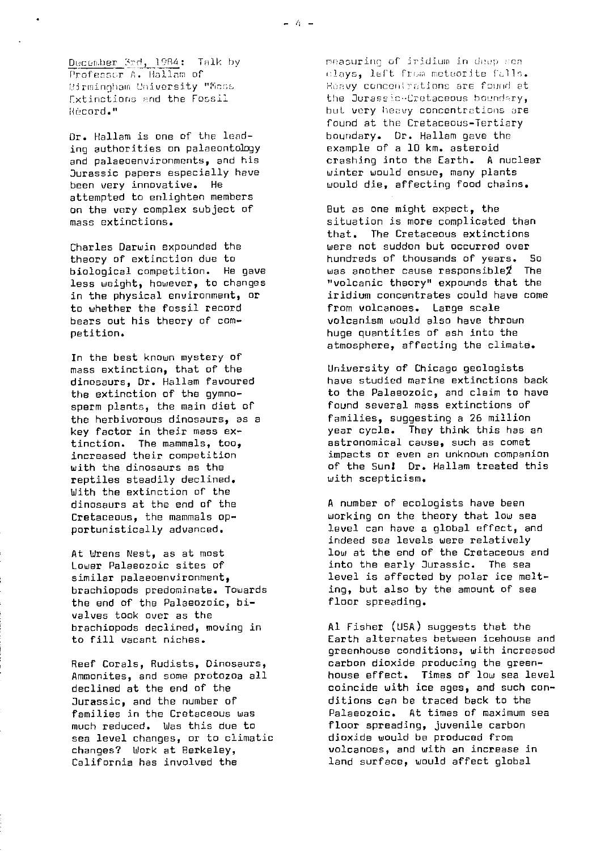December 3rd, 1984: Talk by Professor A. Hallam of Rirmingham University "Mass Extinctions and the Fossil Hbcord."

Dr. Hallam is one of the leading authorities on palaeontology and **palaeoenvironments,** and his Jurassic papers especially have been very innovative. He attempted to enlighten members on the very complex subject of mass extinctions.

Charles Darwin expounded the theory of extinction due to biological competition. He gave less weight, however, to changes in the physical environment, or to whether the fossil record bears out his theory of competition.

In the best known mystery of mass extinction, that of the dinosaurs, Dr. Hallam favoured the extinction of the gymnosperm plants, the main diet of the herbivorous dinosaurs, as a key factor in their mass extinction. The mammals, too, increased their competition with the dinosaurs as the reptiles steadily declined. With the extinction of the dinosaurs at the end of the Cretaceous, the mammals opportunistically advanced.

At Urens Nest, as at most Lower Palaeozoic sites of similar **palaeoenvironment,** brachiopods predominate. Towards the end of the Palaeozoic, bivalves took over as the brachiopods declined, moving in to fill vacant niches.

Reef Corals, Rudists, Dinosaurs, Ammonites, and some protozoa all declined at the end of the Jurassic, and the number of families in the Cretaceous was much reduced. Was this due to sea level changes, or to climatic changes? Work at Berkeley, California has involved the

reasurine of iridium in deep sea clays, left from meteorite falls. Heavy concentrations are found at the Jurassic-Cretaceous boundary, hut very heavy concentrations are found at the Cretaceous-Tertiary boundary. Dr. Hallam gave the example of a 10 km. asteroid crashing into the Earth. A nuclear winter would ensue, many plants would die, affecting food chains.

But as one might expect, the situation is more complicated than that. The Cretaceous extinctions were not sudden but occurred over<br>hundreds of thousands of vears. So hundreds of thousands of years. was another cause responsible $\boldsymbol{\mathcal{I}}$  The "volcanic theory" expounds that the iridium concentrates could have come from volcanoes. Large scale volcanism would also have thrown huge quantities of ash into the atmosphere, affecting the climate.

University of Chicago geologists have studied marine extinctions back to the Palaeozoic, and claim to have found several mass extinctions of families, suggesting a 26 million year cycle. They think this has an astronomical cause, such as comet impacts or even an unknown companion of the Sun! Dr. Hallam treated this with scepticism.

A number of ecologists have been working on the theory that low sea level can have a global effect, and indeed sea levels were relatively low at the end of the Cretaceous and into the early Jurassic. The sea level is affected by polar ice melting, but also by the amount of sea floor spreading.

Al Fisher (USA) suggests that the Earth alternates between icehouse and greenhouse conditions, with increased carbon dioxide producing the greenhouse effect. Times of low sea level coincide with *ice ages, and such con*ditions can be traced back to the Palaeozoic. At times of maximum sea floor spreading, juvenile carbon dioxide would be produced from volcanoes, and with an increase in land surface, would affect global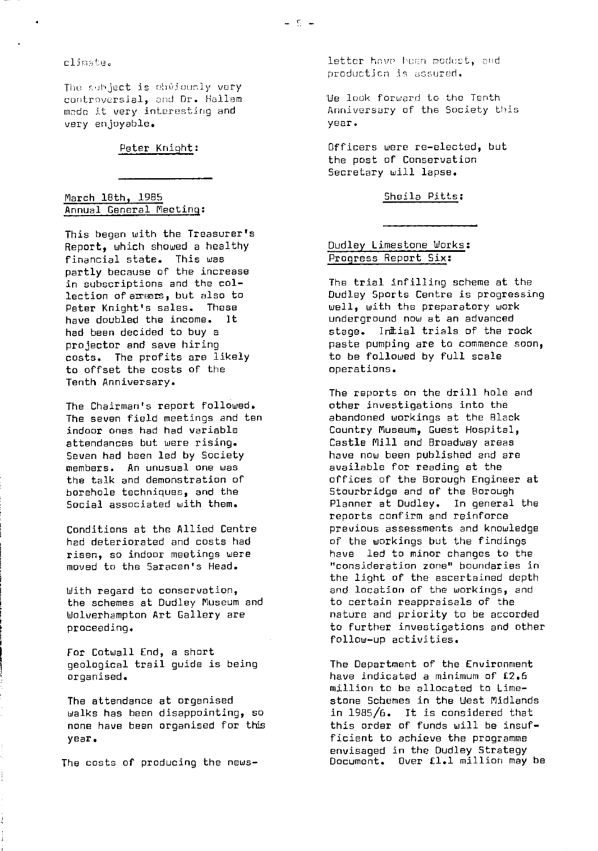clinate.

The subje<mark>ct is</mark> chwicualy very controversial, and Dr. Hallam made it very interesting and very enjoyable.

# Peter Knight:

March 18th, 1985 Annual General Meeting :

This began with the Treasurer's Report, which showed a healthy financial state. This was partly because of the increase in subscriptions and the collection of amears, but also to Peter Knight's sales. These have doubled the income. It had been decided to buy a projector and save hiring costs. The profits are likely to offset the costs of the Tenth Anniversary.

The Chairman's report followed. The seven field meetings and ten indoor ones had had variable attendances but were rising. Seven had been led by Society members. An unusual one was the talk and demonstration of borehole techniques, and the Social associated with them.

Conditions at the Allied Centre had deteriorated and costs had risen, so indoor meetings were moved to the Saracen's Head.

With regard to conservation, the schemes at Dudley Museum and Wolverhampton Art Gallery are proceeding.

For Cotwall End, a short geological trail guide is being organised.

The attendance at organised walks has been disappointing, so none have been organised for this year.

The costs of producing the news-

 ${\tt letter}$  have been modest, and production is assured.

fie look forward to the Tenth Anniversary of the Society this year.

Officers were re-elected, but the post of Conservation Secretary will lapse.

#### Sheila Pitts :

# Dudley Limestone Works : Progress Report Six:

The trial infilling scheme at the Dudley Sports Centre is progressing well, with the preparatory work underground now at an advanced stage. Initial trials of the rock paste pumping are to commence soon, to be followed by full scale operations.

The reports on the drill hole and other investigations into the abandoned workings at the Black Country Museum, Guest Hospital, Castle Mill and Broadway areas have now been published and are available for reading at the offices of the Borough Engineer at Stourbridge and of the Borough Planner at Dudley. In general the reports confirm and reinforce previous assessments and knowledge of the workings but the findings have led to minor changes to the "consideration zone" boundaries in the light of the ascertained depth and location of the workings, and to certain reappraisals of the nature and priority to be accorded to further investigations and other follow-up activities.

The Department of the Environment have indicated a minimum of £2.6 million to be allocated to Limestone Schemes in the West Midlands in 1985/6. It is considered that this order of funds will be insufficient to achieve the programme envisaged in the Dudley Strategy Document. Over fl.1 million may be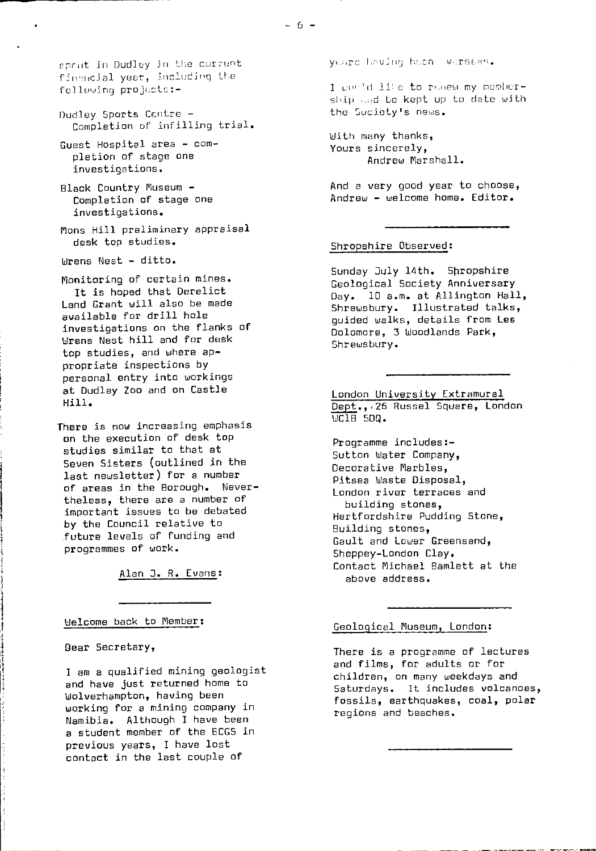eprit in Dudley in the current financial year, including the following projects:-

- Dudley Sports Centre -Completion of infilling trial.
- Guest Hospital area completion of stage ore investigations.
- Black Country Museum Completion of stage one investigations.
- bons Hill preliminary appraisal desk top studies.
- Wrens Nest ditto.

Monitoring of certain mines.

It is hoped that Derelict Land Grant will also be made available for drill hole investigations on the flanks of Wrens Nest hill and for desk top studies, and where appropriate inspections by personal entry into workings at Dudley Zoo and on Castle Hill.

There is now increasing emphasis on the execution of desk top studies similar to that at Seven Sisters (outlined in the last newsletter) for a number of areas in the Borough. Nevertheless, there are a number of important issues to be debated by the Council relative to .future levels of funding and programmes of work.

Alan 3. R. Evans :

Welcome back to Member :

Dear Secretary,

I am a qualified mining geologist and have just returned home to Wolverhampton, having been working for a mining company in Namibia. Although I have been a student member of the ECGS in previous years, I have lost contact in the last couple of

yt.src heving been werseas.

I would like to reacw my membership and be kept up to date with the Cuciety's news.

With many thanks, Yours sincerely, Andrew Marshall.

And a very good year to choose, Andrew - welcome home. Editor.

#### Shropshire Observed :

Sunday July 14th. Shropshire Geological Society Anniversary Day. 10 a.m. at Allington Hall, Shrewsbury. Illustrated talks, guided walks, details from Les Dolomore, 3 Woodlands Park, Shrewsbury.

London University Extramural Dept.,,26 Russel Square, London  $\overline{WC1B}$  5DQ.

Programme includes:- Sutton Water Company, Decorative Marbles, Pitsea Waste Disposal, London river terraces and building stones, Hertfordshire Pudding Stone, Building stones, Gault and Lower Greensand, Sheppey-London Clay. Contact Michael Bamlett at the above address.

Geological Museum, London:

There is a programme of lectures and films, for adults or for children, on many weekdays and Saturdays. It includes volcanoes, fossils, earthquakes, coal, polar regions and beaches.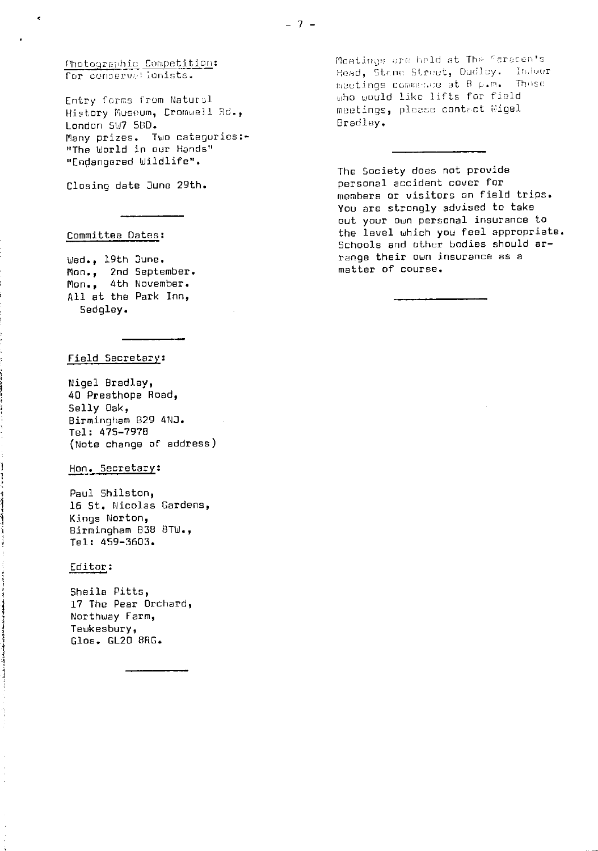Photographic Competition: for conservetionists.

0

Entry forms from Natural History Museum, Cromwell Rd., London SW7 5BD. Many prizes. Two categories:-"The World in our Hands" "Endangered Wildlife".

Closing date June 29th.

## Committee Dates :

Wed., 19th June. Mon., 2nd September. Mon., 4th November. All at the Park Inn, Sedgley.

#### Field Secretary:

Nigel Bradley, 40 Presthope Road, Selly Oak, Birmingham 829 4NJ. Tel: 475-7978 (Note change of address)

Hon. Secretary :

Paul 5hilston, 16 St. Nicolas Gardens, Kings Norton, Birmingham 838 BTU., Tel: 459-3603.

#### Editor :

 $\frac{1}{4}$ 

Sheila Pitts, 17 The Pear Orchard, Northway Farm, Tewkesbury, Glos. GL20 8RG.

Moetings are held at The Faracen's ings of Held at the Sistem of meetings commente at 8 p.m. Those uho would like lifts for field meetings, please contact Wigel Bradley.

The Society does not provide personal accident cover for members or visitors on field trips. You are strongly advised to take out your own personal insurance to the level which you feel appropriate. Schools and other bodies should arrange their own insurance as a matter of course.